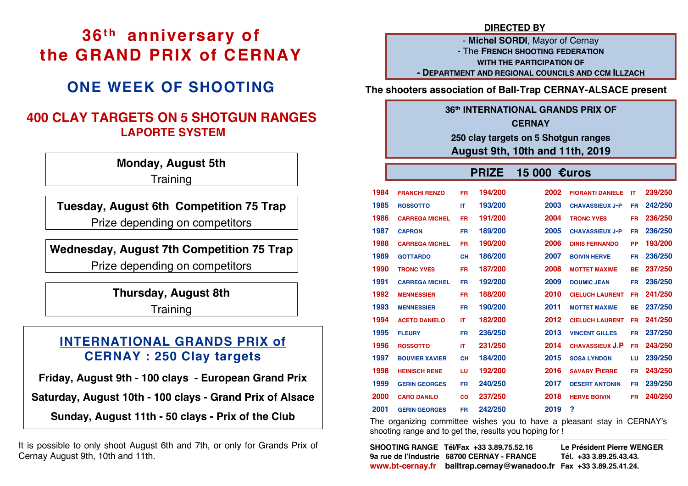# **36th anniversary of the GRAND PRIX of CERNAY**

# **ONE WEEK OF SHOOTING**

## **400 CLAY TARGETS ON 5 SHOTGUN RANGES LAPORTE SYSTEM**

**Monday, August 5th Training** 

**Tuesday, August 6th Competition 75 Trap** Prize depending on competitors

## **Wednesday, August 7th Competition 75 Trap**

Prize depending on competitors

**Thursday, August 8th**

**Training** 

# **INTERNATIONAL GRANDS PRIX of CERNAY : 250 Clay targets**

**Friday, August 9th - 100 clays - European Grand Prix** 

**Saturday, August 10th - 100 clays - Grand Prix of Alsace**

**Sunday, August 11th - 50 clays - Prix of the Club**

It is possible to only shoot August 6th and 7th, or only for Grands Prix of Cernay August 9th, 10th and 11th.

### **DIRECTED BY**

- **Michel SORDI**, Mayor of Cernay - The **FRENCH SHOOTING FEDERATION WITH THE PARTICIPATION OF - DEPARTMENT AND REGIONAL COUNCILS AND CCM ILLZACH**

**The shooters association of Ball-Trap CERNAY-ALSACE present**

# **36th INTERNATIONAL GRANDS PRIX OF CERNAY 250 clay targets on 5 Shotgun ranges**

## **August 9th, 10th and 11th, 2019**

#### **PRIZE 15 000 €uros 1984 FRANCHI RENZO FR 194/200 2002 FIORANTI DANIELE IT 239/250 1985 ROSSOTTO MARINO 1986 CARREGA MICHEL FR 191/200 2004 TRONC YVES FR 236/250 IT 193/200 2003 CHAVASSIEUX J-P FR 242/250 1987 CAPRON FR 189/200 2005 CHAVASSIEUX J-P FR 236/250 1988 CARREGA MICHEL FR 190/200 2006 DINIS FERNANDO PP 193/200 1989 GOTTARDO TRONC YVES CH 186/200 2007 BOIVIN HERVE FR 236/250 1990 TRONC YVES FR 187/200 2008 MOTTET MAXIME DOUMIC JEAN BE 237/250 1991 CARREGA MICHEL FR 192/200 2009 DOUMIC JEAN FR 236/250 1992 MENNESSIER MARC 1993 MENNESSIER FR 188/200 2010 CIELUCH LAURENT FR 241/250 ACETO DANIELO FR 190/200 2011 MOTTET MAXIME BE 237/250 1994 ACETO DANIELO IT 182/200 2012 CIELUCH LAURENT FR 241/250 1995 FLEURY CHRISTOPHE 1996 ROSSOTTO FR 236/250 2013 VINCENT GILLES FR 237/250 MARINO 1997 BOUVIER XAVIER CH 184/200 2015 SOSA LYNDON LU 239/250 IT 231/250 2014 CHAVASSIEUX J.P FR 243/250 1998 HEINISCH RENE LU 192/200 2016 SAVARY PIERRE FR 243/250 1999 GERIN GEORGES FR 240/250 2017 DESERT ANTONIN FR 239/250 2000 CARO DANILO CO LR 237/250 2018 HERVE BOIVIN FR 240/250 2001 GERIN GEORGES FR 242/250 2019 ?**

The organizing committee wishes you to have a pleasant stay in CERNAY's shooting range and to get the, results you hoping for !

| SHOOTING RANGE Tél/Fax +33 3.89.75.52.16                           | Le Président Pierre WENGER |
|--------------------------------------------------------------------|----------------------------|
| 9a rue de l'Industrie 68700 CERNAY - FRANCE                        | Tél. +33 3.89.25.43.43.    |
| www.bt-cernay.fr balltrap.cernay@wanadoo.fr Fax +33 3.89.25.41.24. |                            |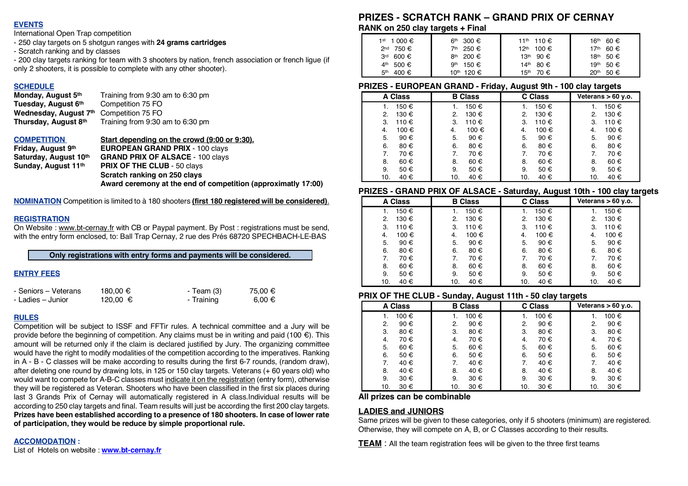#### **EVENTS**

International Open Trap competition

- 250 clay targets on 5 shotgun ranges with **24 grams cartridges**
- Scratch ranking and by classes

- 200 clay targets ranking for team with 3 shooters by nation, french association or french ligue (if only 2 shooters, it is possible to complete with any other shooter).

**SCHEDULE**<br>Monday, August 5th **Tuesday, August 6<sup>th</sup>** Competition 75 FO **Wednesday, August 7th** Competition 75 FO **Thursday, August 8th** Training from 9:30 am to 6:30 pm

Training from 9:30 am to 6:30 pm

**COMPETITION Start depending on the crowd (9:00 or 9:30).**

**Sunday, August 11<sup>th</sup> PRIX OF THE CLUB** - 50 clays

**Friday, August 9th EUROPEAN GRAND PRIX** - 100 clays

**Saturday, August 10th GRAND PRIX OF ALSACE** - 100 clays

**Scratch ranking on 250 clays**

**Award ceremony at the end of competition (approximatly 17:00)**

**NOMINATION** Competition is limited to à 180 shooters **(first 180 registered will be considered)**.

#### **REGISTRATION**

On Website : www.bt-cernay.fr with CB or Paypal payment. By Post : registrations must be send, with the entry form enclosed, to: Ball Trap Cernay, 2 rue des Prés 68720 SPECHBACH-LE-BAS

**Only registrations with entry forms and payments will be considered.**

#### **ENTRY FEES**

| - Seniors – Veterans | 180.00 € | - Team (3) | 75,00 €    |
|----------------------|----------|------------|------------|
| - Ladies – Junior    | 120,00 € | - Training | $6.00 \in$ |

#### **RULES**

Competition will be subject to ISSF and FFTir rules. A technical committee and a Jury will be provide before the beginning of competition. Any claims must be in writing and paid (100  $\epsilon$ ). This amount will be returned only if the claim is declared justified by Jury. The organizing committee would have the right to modify modalities of the competition according to the imperatives. Ranking in A - B - C classes will be make according to results during the first 6-7 rounds, (random draw), after deleting one round by drawing lots, in 125 or 150 clay targets. Veterans (+ 60 years old) who would want to compete for A-B-C classes must indicate it on the registration (entry form), otherwise they will be registered as Veteran. Shooters who have been classified in the first six places during last 3 Grands Prix of Cernay will automatically registered in A class.Individual results will be according to 250 clay targets and final. Team results will just be according the first 200 clay targets. **Prizes have been established according to a presence of 180 shooters. In case of lower rate of participation, they would be reduce by simple proportional rule.** 

#### **ACCOMODATION :**

List of Hotels on website : **www.bt-cernay.fr**

## **PRIZES - SCRATCH RANK – GRAND PRIX OF CERNAY**

**RANK on 250 clay targets + Final**

| 1 <sup>st</sup> 1 000 € | 6 <sup>th</sup><br>300 €       | 11 <sup>th</sup> 110€  | 60 €<br>16th             |
|-------------------------|--------------------------------|------------------------|--------------------------|
| $2^{nd}$ 750 €          | 7 <sup>th</sup> 250 €          | 12 <sup>th</sup> 100 € | 60 €<br>17 <sup>th</sup> |
| 3 <sup>rd</sup>         | 8 <sup>th</sup> 200 $\epsilon$ | 90 €                   | 50€                      |
| 600 €                   |                                | 13 <sup>th</sup>       | 18 <sup>th</sup>         |
| 500 €                   | 9 <sup>th</sup> 150 $\epsilon$ | 14th                   | 50€                      |
| 4 <sup>th</sup>         |                                | 80 €                   | 19 <sup>th</sup>         |
| 5th                     | 10 <sup>th</sup> 120 €         | 70 €                   | 50€                      |
| 400 €                   |                                | 15 <sup>th</sup>       | 20 <sup>th</sup>         |

#### **PRIZES - EUROPEAN GRAND - Friday, August 9th - 100 clay targets**

| A Class     | <b>B</b> Class | . .<br>--<br>C Class | -<br>Veterans $> 60$ y.o. |
|-------------|----------------|----------------------|---------------------------|
| 150 €<br>1. | 150 €          | 150 €<br>1.          | 150 €                     |
| 2.          | 130 €          | 130 €                | 130 €                     |
| 130 €       | 2.             | 2.                   | 2.                        |
| 110€        | 110 €          | 110 €                | 110 €                     |
| 3.          | 3.             | 3.                   | 3.                        |
| 100 €       | 100 €          | 100 €                | 100 €                     |
| 4.          | 4.             | 4.                   | 4.                        |
| 5.          | 5.             | 5.                   | 5.                        |
| 90€         | 90€            | 90€                  | 90€                       |
| 6.          | 6.             | 6.                   | 6.                        |
| 80€         | 80€            | 80€                  | 80€                       |
| 7.          | 70€            | 70€                  | 7.                        |
| 70€         | 7.             | 7.                   | 70€                       |
| 60€         | 60€            | 60€                  | 60€                       |
| 8.          | 8.             | 8.                   | 8.                        |
| 9.          | 9.             | 50€                  | 9.                        |
| 50 €        | 50€            | 9.                   | 50€                       |
| 40 €        | 40 €           | 40 €                 | 40 €                      |
| 10.         | 10.            | 10.                  | 10.                       |

#### **PRIZES - GRAND PRIX OF ALSACE - Saturday, August 10th - 100 clay targets**

|         | .<br>.         | <i>r</i> atarany, ragaot romi |                      |
|---------|----------------|-------------------------------|----------------------|
| A Class | <b>B</b> Class | C Class                       | Veterans $> 60$ y.o. |
| 150 €   | 150 €          | 150 €                         | 150 €                |
| 1.      | 1.             | 1.                            |                      |
| 130 €   | 130 €          | 130 €                         | 130 €                |
| 2.      | 2.             | 2.                            | 2.                   |
| 110 €   | З.             | 3.                            | 110€                 |
| З.      | 110 €          | 110 €                         | 3.                   |
| 100 €   | 100 €          | 100 €                         | 100 €                |
| 4.      | 4.             | 4.                            | 4.                   |
| 90 €    | 5.             | 5.                            | 90€                  |
| 5.      | 90€            | 90€                           | 5.                   |
| 80€     | 6.             | 6.                            | 6.                   |
| 6.      | 80€            | 80€                           | 80€                  |
| 70€     | 70€            | 70€                           | 70€                  |
| 7.      | 7.             | 7.                            | 7.                   |
| 60€     | 60€            | 60€                           | 60€                  |
| 8.      | 8.             | 8.                            | 8.                   |
| 9.      | 50 €           | 9.                            | 50€                  |
| 50 €    | 9.             | 50 €                          | 9.                   |
| 40 €    | 40 €           | 40 €                          | 40 €                 |
| 10.     | 10.            | 10.                           | 10.                  |

#### **PRIX OF THE CLUB - Sunday, August 11th - 50 clay targets**

|             | . .            |         |                      |
|-------------|----------------|---------|----------------------|
| A Class     | <b>B</b> Class | C Class | Veterans $> 60$ y.o. |
| 100 €<br>1. | 100 €          | 100 €   | 100 €                |
| 90€         | 2.             | 90€     | 90€                  |
| 2.          | 90€            | 2.      | $\mathbf{2}$         |
| 3.          | 3.             | 3.      | 80€                  |
| 80€         | 80€            | 80€     | 3.                   |
| 70€         | 70€            | 70€     | 70€                  |
| 4.          | 4.             | 4.      | 4.                   |
| 60€         | 5.             | 5.      | 60€                  |
| 5.          | 60€            | 60€     | 5.                   |
| 6.          | 6.             | 6.      | 50€                  |
| 50 €        | 50€            | 50€     | 6.                   |
| 40 €        | 7.             | 7.      | 40 €                 |
| 7.          | 40 €           | 40 €    | 7.                   |
| 8.          | 8.             | 8.      | 8.                   |
| 40 €        | 40 €           | 40 €    | 40 €                 |
| 9.          | 9.             | 30 €    | 30 €                 |
| 30 €        | 30 €           | 9.      | 9.                   |
| 30 €        | 30 €           | 10.     | 30 €                 |
| 10.         | 10.            | 30 €    | 10.                  |

#### **All prizes can be combinable**

#### **LADIES and JUNIORS**

Same prizes will be given to these categories, only if 5 shooters (minimum) are registered. Otherwise, they will compete on A, B, or C Classes according to their results.

**TEAM** : All the team registration fees will be given to the three first teams